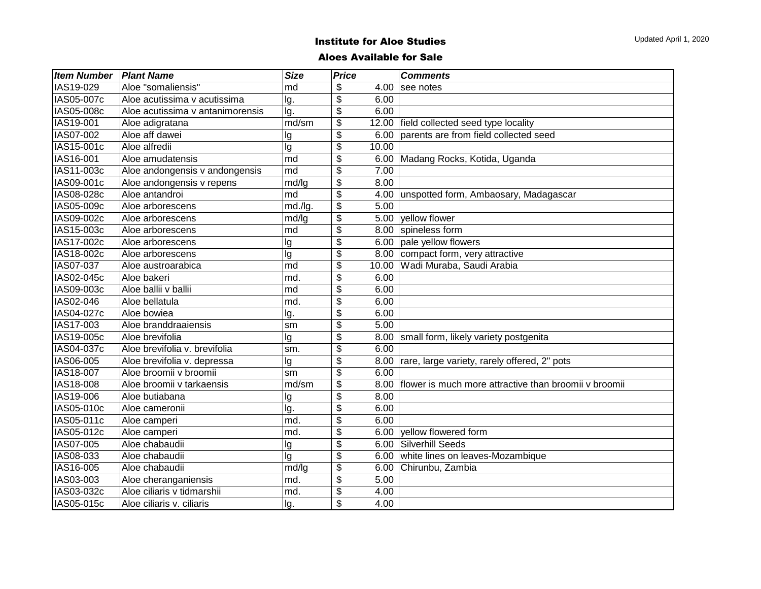#### Aloes Available for Sale

| <b>Item Number</b> | <b>Plant Name</b>                | <b>Size</b>          | <b>Price</b>             |       | <b>Comments</b>                                       |
|--------------------|----------------------------------|----------------------|--------------------------|-------|-------------------------------------------------------|
| IAS19-029          | Aloe "somaliensis"               | md                   | \$                       | 4.00  | see notes                                             |
| IAS05-007c         | Aloe acutissima v acutissima     | lg.                  | \$                       | 6.00  |                                                       |
| IAS05-008c         | Aloe acutissima v antanimorensis | lg.                  | \$                       | 6.00  |                                                       |
| IAS19-001          | Aloe adigratana                  | md/sm                | $\overline{\mathbf{e}}$  | 12.00 | field collected seed type locality                    |
| IAS07-002          | Aloe aff dawei                   | lg                   | $\overline{\mathcal{E}}$ | 6.00  | parents are from field collected seed                 |
| IAS15-001c         | Aloe alfredii                    | lg                   | \$                       | 10.00 |                                                       |
| IAS16-001          | Aloe amudatensis                 | md                   | \$                       |       | 6.00 Madang Rocks, Kotida, Uganda                     |
| IAS11-003c         | Aloe andongensis v andongensis   | $\lfloor md \rfloor$ | \$                       | 7.00  |                                                       |
| IAS09-001c         | Aloe andongensis v repens        | md/lg                | \$                       | 8.00  |                                                       |
| IAS08-028c         | Aloe antandroi                   | md                   | \$                       | 4.00  | unspotted form, Ambaosary, Madagascar                 |
| IAS05-009c         | Aloe arborescens                 | md./lg.              | $\overline{\mathbf{e}}$  | 5.00  |                                                       |
| IAS09-002c         | Aloe arborescens                 | md/lg                | \$                       | 5.00  | yellow flower                                         |
| IAS15-003c         | Aloe arborescens                 | md                   | \$                       | 8.00  | spineless form                                        |
| IAS17-002c         | Aloe arborescens                 | lg                   | $\overline{\mathbf{e}}$  |       | 6.00 pale yellow flowers                              |
| IAS18-002c         | Aloe arborescens                 | lg                   | \$                       | 8.00  | compact form, very attractive                         |
| IAS07-037          | Aloe austroarabica               | md                   | \$                       | 10.00 | Wadi Muraba, Saudi Arabia                             |
| IAS02-045c         | Aloe bakeri                      | md.                  | \$                       | 6.00  |                                                       |
| IAS09-003c         | Aloe ballii v ballii             | md                   | \$                       | 6.00  |                                                       |
| IAS02-046          | Aloe bellatula                   | md.                  | \$                       | 6.00  |                                                       |
| IAS04-027c         | Aloe bowiea                      | lg.                  | \$                       | 6.00  |                                                       |
| IAS17-003          | Aloe branddraaiensis             | sm                   | $\overline{\$}$          | 5.00  |                                                       |
| IAS19-005c         | Aloe brevifolia                  | lg                   | $\overline{\$}$          | 8.00  | small form, likely variety postgenita                 |
| IAS04-037c         | Aloe brevifolia v. brevifolia    | sm.                  | \$                       | 6.00  |                                                       |
| IAS06-005          | Aloe brevifolia v. depressa      | lg                   | $\overline{\mathcal{L}}$ | 8.00  | rare, large variety, rarely offered, 2" pots          |
| IAS18-007          | Aloe broomii v broomii           | sm                   | \$                       | 6.00  |                                                       |
| IAS18-008          | Aloe broomii v tarkaensis        | md/sm                | \$                       | 8.00  | flower is much more attractive than broomii v broomii |
| IAS19-006          | Aloe butiabana                   | lg                   | \$                       | 8.00  |                                                       |
| IAS05-010c         | Aloe cameronii                   | lg.                  | \$                       | 6.00  |                                                       |
| IAS05-011c         | Aloe camperi                     | md.                  | \$                       | 6.00  |                                                       |
| IAS05-012c         | Aloe camperi                     | md.                  | \$                       | 6.00  | vellow flowered form                                  |
| IAS07-005          | Aloe chabaudii                   | lg                   | \$                       | 6.00  | Silverhill Seeds                                      |
| IAS08-033          | Aloe chabaudii                   | lg                   | \$                       | 6.00  | white lines on leaves-Mozambique                      |
| IAS16-005          | Aloe chabaudii                   | md/lg                | \$                       | 6.00  | Chirunbu, Zambia                                      |
| IAS03-003          | Aloe cheranganiensis             | md.                  | $\overline{\mathbf{e}}$  | 5.00  |                                                       |
| IAS03-032c         | Aloe ciliaris v tidmarshii       | md.                  | $\overline{\mathcal{E}}$ | 4.00  |                                                       |
| IAS05-015c         | Aloe ciliaris v. ciliaris        | lg.                  | \$                       | 4.00  |                                                       |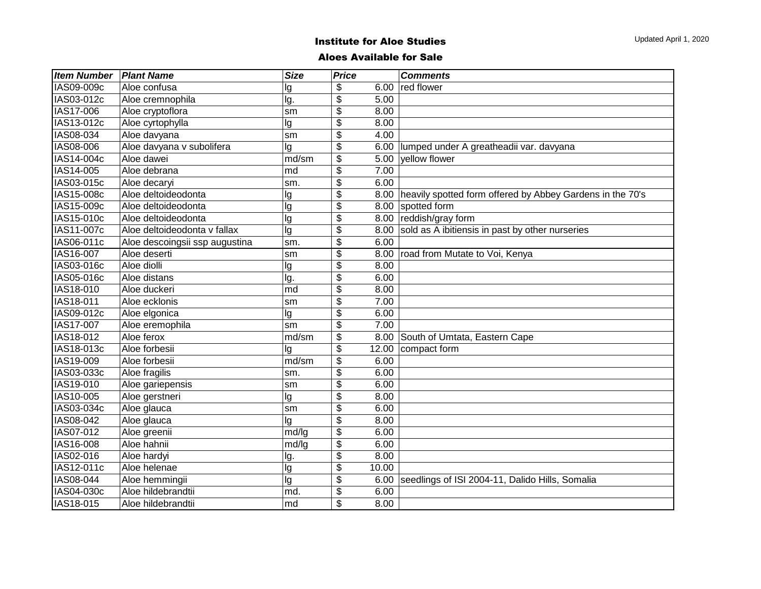#### Aloes Available for Sale

| <b>Item Number</b> | <b>Plant Name</b>              | <b>Size</b>          | <b>Price</b>              |       | <b>Comments</b>                                                  |
|--------------------|--------------------------------|----------------------|---------------------------|-------|------------------------------------------------------------------|
| IAS09-009c         | Aloe confusa                   | lg                   | \$                        | 6.00  | red flower                                                       |
| IAS03-012c         | Aloe cremnophila               | lg.                  | \$                        | 5.00  |                                                                  |
| IAS17-006          | Aloe cryptoflora               | sm                   | $\overline{\mathcal{G}}$  | 8.00  |                                                                  |
| IAS13-012c         | Aloe cyrtophylla               | lg                   | \$                        | 8.00  |                                                                  |
| IAS08-034          | Aloe davyana                   | sm                   | \$                        | 4.00  |                                                                  |
| IAS08-006          | Aloe davyana v subolifera      | lg                   | $\overline{\mathcal{G}}$  |       | 6.00 lumped under A greatheadii var. davyana                     |
| IAS14-004c         | Aloe dawei                     | md/sm                | $\overline{\mathcal{G}}$  | 5.00  | vellow flower                                                    |
| IAS14-005          | Aloe debrana                   | md                   | \$                        | 7.00  |                                                                  |
| IAS03-015c         | Aloe decaryi                   | sm.                  | $\overline{\mathcal{G}}$  | 6.00  |                                                                  |
| IAS15-008c         | Aloe deltoideodonta            | lg                   | \$                        |       | 8.00   heavily spotted form offered by Abbey Gardens in the 70's |
| IAS15-009c         | Aloe deltoideodonta            | lg                   | $\overline{\mathcal{G}}$  |       | 8.00 spotted form                                                |
| IAS15-010c         | Aloe deltoideodonta            | lg                   | \$                        |       | 8.00 reddish/gray form                                           |
| IAS11-007c         | Aloe deltoideodonta v fallax   | lg                   | \$                        | 8.00  | sold as A ibitiensis in past by other nurseries                  |
| IAS06-011c         | Aloe descoingsii ssp augustina | sm.                  | \$                        | 6.00  |                                                                  |
| IAS16-007          | Aloe deserti                   | lsm                  | \$                        | 8.00  | road from Mutate to Voi, Kenya                                   |
| IAS03-016c         | Aloe diolli                    | lg                   | \$                        | 8.00  |                                                                  |
| IAS05-016c         | Aloe distans                   | lg.                  | \$                        | 6.00  |                                                                  |
| IAS18-010          | Aloe duckeri                   | md                   | \$                        | 8.00  |                                                                  |
| IAS18-011          | Aloe ecklonis                  | sm                   | \$                        | 7.00  |                                                                  |
| IAS09-012c         | Aloe elgonica                  | lg                   | \$                        | 6.00  |                                                                  |
| IAS17-007          | Aloe eremophila                | sm                   | \$                        | 7.00  |                                                                  |
| IAS18-012          | Aloe ferox                     | md/sm                | \$                        |       | 8.00 South of Umtata, Eastern Cape                               |
| IAS18-013c         | Aloe forbesii                  | lg                   | $\overline{\mathfrak{s}}$ | 12.00 | compact form                                                     |
| IAS19-009          | Aloe forbesii                  | md/sm                | \$                        | 6.00  |                                                                  |
| IAS03-033c         | Aloe fragilis                  | sm.                  | \$                        | 6.00  |                                                                  |
| IAS19-010          | Aloe gariepensis               | sm                   | \$                        | 6.00  |                                                                  |
| IAS10-005          | Aloe gerstneri                 | lg                   | \$                        | 8.00  |                                                                  |
| IAS03-034c         | Aloe glauca                    | sm                   | \$                        | 6.00  |                                                                  |
| IAS08-042          | Aloe glauca                    | lg                   | \$                        | 8.00  |                                                                  |
| IAS07-012          | Aloe greenii                   | md/lg                | \$                        | 6.00  |                                                                  |
| IAS16-008          | Aloe hahnii                    | md/lg                | \$                        | 6.00  |                                                                  |
| IAS02-016          | Aloe hardyi                    | lg.                  | \$                        | 8.00  |                                                                  |
| IAS12-011c         | Aloe helenae                   | lg                   | \$                        | 10.00 |                                                                  |
| IAS08-044          | Aloe hemmingii                 | lg                   | \$                        | 6.00  | seedlings of ISI 2004-11, Dalido Hills, Somalia                  |
| IAS04-030c         | Aloe hildebrandtii             | md.                  | \$                        | 6.00  |                                                                  |
| IAS18-015          | Aloe hildebrandtii             | $\lfloor md \rfloor$ | \$                        | 8.00  |                                                                  |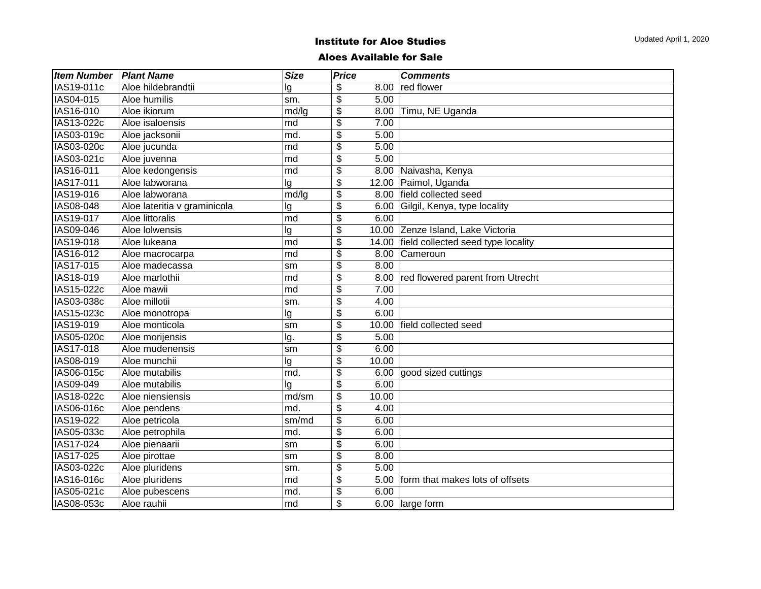| <b>Item Number</b> | <b>Plant Name</b>            | <b>Size</b>          | <b>Price</b>              |       | <b>Comments</b>                    |
|--------------------|------------------------------|----------------------|---------------------------|-------|------------------------------------|
| IAS19-011c         | Aloe hildebrandtii           | lg                   | \$                        | 8.00  | red flower                         |
| IAS04-015          | Aloe humilis                 | sm.                  | \$                        | 5.00  |                                    |
| IAS16-010          | Aloe ikiorum                 | md/lg                | $\overline{\mathcal{G}}$  | 8.00  | Timu, NE Uganda                    |
| IAS13-022c         | Aloe isaloensis              | md                   | $\overline{\mathcal{G}}$  | 7.00  |                                    |
| IAS03-019c         | Aloe jacksonii               | md.                  | $\overline{\mathcal{G}}$  | 5.00  |                                    |
| IAS03-020c         | Aloe jucunda                 | md                   | $\overline{\mathbf{e}}$   | 5.00  |                                    |
| IAS03-021c         | Aloe juvenna                 | md                   | $\overline{\mathbf{3}}$   | 5.00  |                                    |
| IAS16-011          | Aloe kedongensis             | md                   | $\overline{\mathbf{e}}$   |       | 8.00 Naivasha, Kenya               |
| IAS17-011          | Aloe labworana               | lg                   | $\overline{\$}$           |       | 12.00 Paimol, Uganda               |
| IAS19-016          | Aloe labworana               | md/lg                | \$                        | 8.00  | field collected seed               |
| IAS08-048          | Aloe lateritia v graminicola | lg                   | \$                        | 6.00  | Gilgil, Kenya, type locality       |
| IAS19-017          | Aloe littoralis              | md                   | $\overline{\mathcal{G}}$  | 6.00  |                                    |
| IAS09-046          | Aloe lolwensis               | lg                   | \$                        |       | 10.00 Zenze Island, Lake Victoria  |
| IAS19-018          | Aloe lukeana                 | $\lfloor md \rfloor$ | $\overline{\mathbf{e}}$   | 14.00 | field collected seed type locality |
| IAS16-012          | Aloe macrocarpa              | md                   | \$                        | 8.00  | Cameroun                           |
| IAS17-015          | Aloe madecassa               | <b>sm</b>            | \$                        | 8.00  |                                    |
| IAS18-019          | Aloe marlothii               | md                   | $\overline{\$}$           | 8.00  | red flowered parent from Utrecht   |
| IAS15-022c         | Aloe mawii                   | md                   | \$                        | 7.00  |                                    |
| IAS03-038c         | Aloe millotii                | sm.                  | $\overline{\$}$           | 4.00  |                                    |
| IAS15-023c         | Aloe monotropa               | lg                   | $\overline{\$}$           | 6.00  |                                    |
| IAS19-019          | Aloe monticola               | lsm                  | \$                        | 10.00 | field collected seed               |
| IAS05-020c         | Aloe morijensis              | lg.                  | \$                        | 5.00  |                                    |
| IAS17-018          | Aloe mudenensis              | sm                   | \$                        | 6.00  |                                    |
| IAS08-019          | Aloe munchii                 | lg                   | \$                        | 10.00 |                                    |
| IAS06-015c         | Aloe mutabilis               | md.                  | \$                        | 6.00  | good sized cuttings                |
| IAS09-049          | Aloe mutabilis               | lg                   | \$                        | 6.00  |                                    |
| IAS18-022c         | Aloe niensiensis             | md/sm                | $\overline{\mathbf{S}}$   | 10.00 |                                    |
| IAS06-016c         | Aloe pendens                 | md.                  | $\overline{\mathbf{S}}$   | 4.00  |                                    |
| IAS19-022          | Aloe petricola               | sm/md                | \$                        | 6.00  |                                    |
| IAS05-033c         | Aloe petrophila              | md.                  | $\overline{\mathbf{S}}$   | 6.00  |                                    |
| IAS17-024          | Aloe pienaarii               | sm                   | $\overline{\mathfrak{s}}$ | 6.00  |                                    |
| IAS17-025          | Aloe pirottae                | sm                   | \$                        | 8.00  |                                    |
| IAS03-022c         | Aloe pluridens               | sm.                  | \$                        | 5.00  |                                    |
| IAS16-016c         | Aloe pluridens               | md                   | $\overline{\mathbf{e}}$   | 5.00  | form that makes lots of offsets    |
| IAS05-021c         | Aloe pubescens               | md.                  | $\overline{\$}$           | 6.00  |                                    |
| IAS08-053c         | Aloe rauhii                  | Imd                  | $\overline{\mathcal{S}}$  |       | $\overline{6.00}$   large form     |